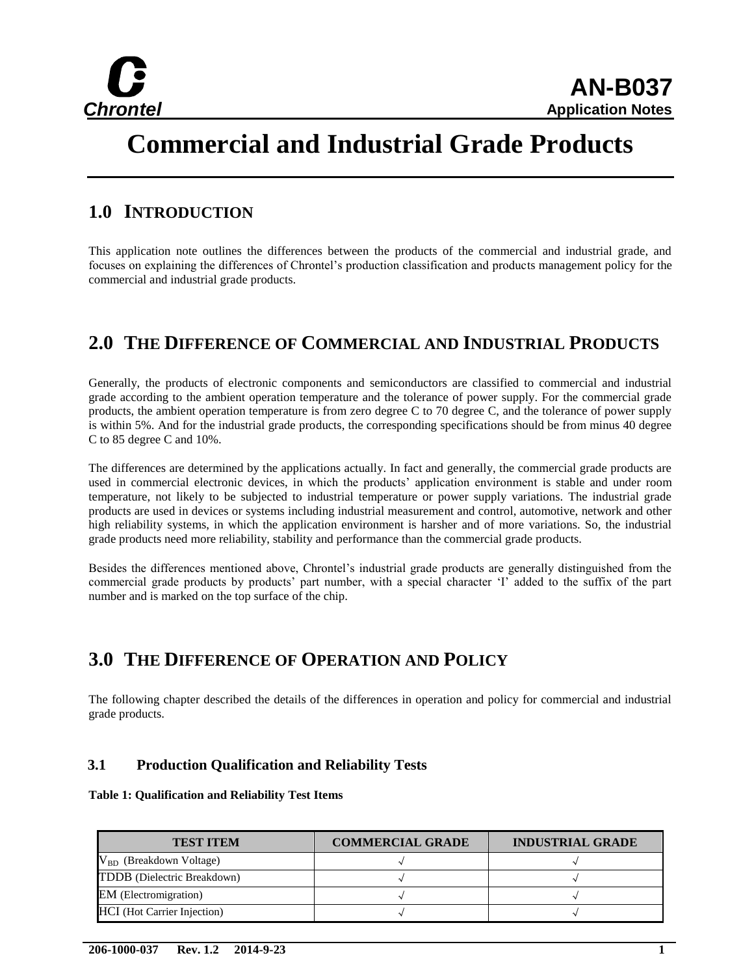

# **Commercial and Industrial Grade Products**

### **1.0 INTRODUCTION**

This application note outlines the differences between the products of the commercial and industrial grade, and focuses on explaining the differences of Chrontel's production classification and products management policy for the commercial and industrial grade products.

# **2.0 THE DIFFERENCE OF COMMERCIAL AND INDUSTRIAL PRODUCTS**

Generally, the products of electronic components and semiconductors are classified to commercial and industrial grade according to the ambient operation temperature and the tolerance of power supply. For the commercial grade products, the ambient operation temperature is from zero degree C to 70 degree C, and the tolerance of power supply is within 5%. And for the industrial grade products, the corresponding specifications should be from minus 40 degree C to 85 degree C and 10%.

The differences are determined by the applications actually. In fact and generally, the commercial grade products are used in commercial electronic devices, in which the products' application environment is stable and under room temperature, not likely to be subjected to industrial temperature or power supply variations. The industrial grade products are used in devices or systems including industrial measurement and control, automotive, network and other high reliability systems, in which the application environment is harsher and of more variations. So, the industrial grade products need more reliability, stability and performance than the commercial grade products.

Besides the differences mentioned above, Chrontel's industrial grade products are generally distinguished from the commercial grade products by products' part number, with a special character 'I' added to the suffix of the part number and is marked on the top surface of the chip.

# **3.0 THE DIFFERENCE OF OPERATION AND POLICY**

The following chapter described the details of the differences in operation and policy for commercial and industrial grade products.

#### **3.1 Production Qualification and Reliability Tests**

#### **Table 1: Qualification and Reliability Test Items**

| <b>TEST ITEM</b>                   | <b>COMMERCIAL GRADE</b> | <b>INDUSTRIAL GRADE</b> |
|------------------------------------|-------------------------|-------------------------|
| $V_{BD}$ (Breakdown Voltage)       |                         |                         |
| TDDB (Dielectric Breakdown)        |                         |                         |
| <b>EM</b> (Electromigration)       |                         |                         |
| <b>HCI</b> (Hot Carrier Injection) |                         |                         |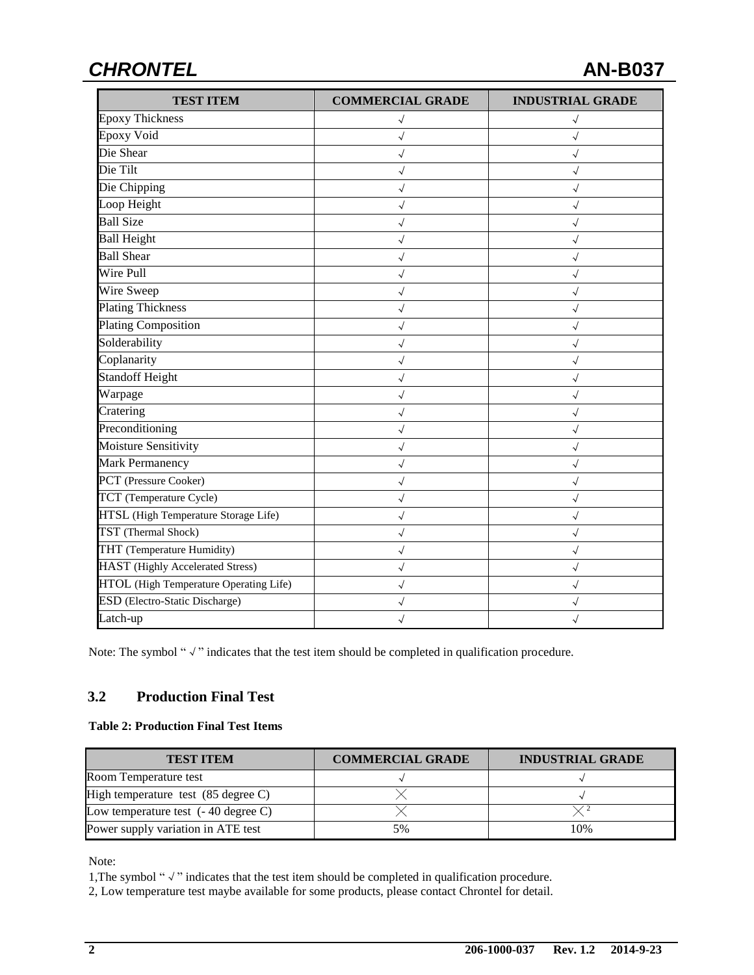# *CHRONTEL* **AN-B037**

| <b>TEST ITEM</b>                        | <b>COMMERCIAL GRADE</b> | <b>INDUSTRIAL GRADE</b> |
|-----------------------------------------|-------------------------|-------------------------|
| <b>Epoxy Thickness</b>                  | $\checkmark$            | $\sqrt{}$               |
| <b>Epoxy Void</b>                       | $\checkmark$            | $\checkmark$            |
| Die Shear                               | $\checkmark$            | $\sqrt{}$               |
| Die Tilt                                | $\checkmark$            | $\checkmark$            |
| Die Chipping                            | $\checkmark$            |                         |
| Loop Height                             | $\checkmark$            | $\checkmark$            |
| <b>Ball Size</b>                        | $\checkmark$            | $\checkmark$            |
| <b>Ball Height</b>                      | $\sqrt{}$               | $\sqrt{}$               |
| <b>Ball Shear</b>                       | $\sqrt{}$               | $\sqrt{}$               |
| <b>Wire Pull</b>                        | $\sqrt{}$               | $\checkmark$            |
| Wire Sweep                              | $\checkmark$            | $\sqrt{}$               |
| <b>Plating Thickness</b>                | $\checkmark$            | $\sqrt{}$               |
| <b>Plating Composition</b>              | $\sqrt{}$               | $\sqrt{}$               |
| Solderability                           | $\checkmark$            |                         |
| Coplanarity                             | $\checkmark$            | $\checkmark$            |
| <b>Standoff Height</b>                  | $\sqrt{2}$              | $\checkmark$            |
| Warpage                                 | $\checkmark$            |                         |
| Cratering                               | $\checkmark$            | $\sqrt{}$               |
| Preconditioning                         | $\checkmark$            |                         |
| Moisture Sensitivity                    | $\checkmark$            | $\checkmark$            |
| Mark Permanency                         | $\checkmark$            | $\checkmark$            |
| PCT (Pressure Cooker)                   | $\checkmark$            | $\sqrt{}$               |
| TCT (Temperature Cycle)                 | $\checkmark$            | $\sqrt{}$               |
| HTSL (High Temperature Storage Life)    | $\checkmark$            |                         |
| TST (Thermal Shock)                     | $\checkmark$            | $\sqrt{}$               |
| THT (Temperature Humidity)              | $\checkmark$            | $\sqrt{}$               |
| <b>HAST</b> (Highly Accelerated Stress) | $\sqrt{}$               | $\sqrt{}$               |
| HTOL (High Temperature Operating Life)  | $\checkmark$            | $\checkmark$            |
| <b>ESD</b> (Electro-Static Discharge)   | $\checkmark$            | $\checkmark$            |
| Latch-up                                | $\sqrt{}$               | $\checkmark$            |

Note: The symbol "√" indicates that the test item should be completed in qualification procedure.

#### **3.2 Production Final Test**

#### **Table 2: Production Final Test Items**

| <b>TEST ITEM</b>                              | <b>COMMERCIAL GRADE</b> | <b>INDUSTRIAL GRADE</b> |
|-----------------------------------------------|-------------------------|-------------------------|
| Room Temperature test                         |                         |                         |
| High temperature test $(85 \text{ degree C})$ |                         |                         |
| Low temperature test $(-40 \text{ degree C})$ |                         |                         |
| Power supply variation in ATE test            | 5%                      | 10%                     |

Note:

1,The symbol "√" indicates that the test item should be completed in qualification procedure.

2, Low temperature test maybe available for some products, please contact Chrontel for detail.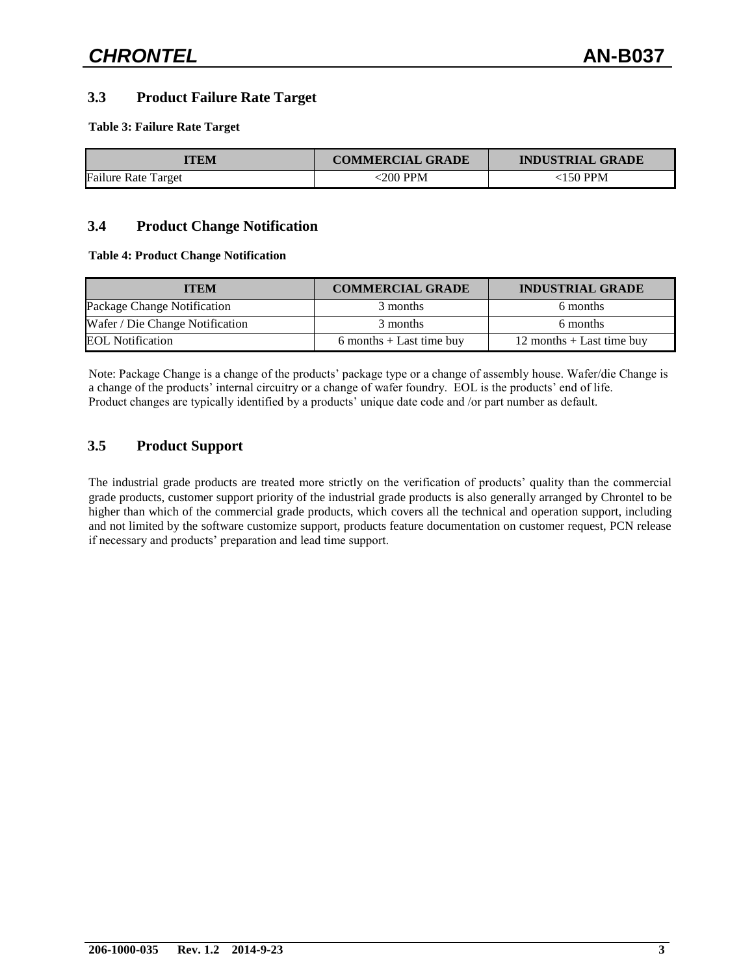#### **3.3 Product Failure Rate Target**

**Table 3: Failure Rate Target**

| TEM                        | <b>COMMERCIAL GRADE</b> | <b>INDUSTRIAL GRADE</b> |  |
|----------------------------|-------------------------|-------------------------|--|
| <b>Failure Rate Target</b> | 200 PPM                 | ≤150 PPM                |  |

#### **3.4 Product Change Notification**

#### **Table 4: Product Change Notification**

| ITEM                            | <b>COMMERCIAL GRADE</b>    | <b>INDUSTRIAL GRADE</b>     |  |
|---------------------------------|----------------------------|-----------------------------|--|
| Package Change Notification     | 3 months                   | 6 months                    |  |
| Wafer / Die Change Notification | 3 months                   | 6 months                    |  |
| <b>EOL Notification</b>         | $6$ months + Last time buy | 12 months $+$ Last time buy |  |

Note: Package Change is a change of the products' package type or a change of assembly house. Wafer/die Change is a change of the products' internal circuitry or a change of wafer foundry. EOL is the products' end of life. Product changes are typically identified by a products' unique date code and /or part number as default.

#### **3.5 Product Support**

The industrial grade products are treated more strictly on the verification of products' quality than the commercial grade products, customer support priority of the industrial grade products is also generally arranged by Chrontel to be higher than which of the commercial grade products, which covers all the technical and operation support, including and not limited by the software customize support, products feature documentation on customer request, PCN release if necessary and products' preparation and lead time support.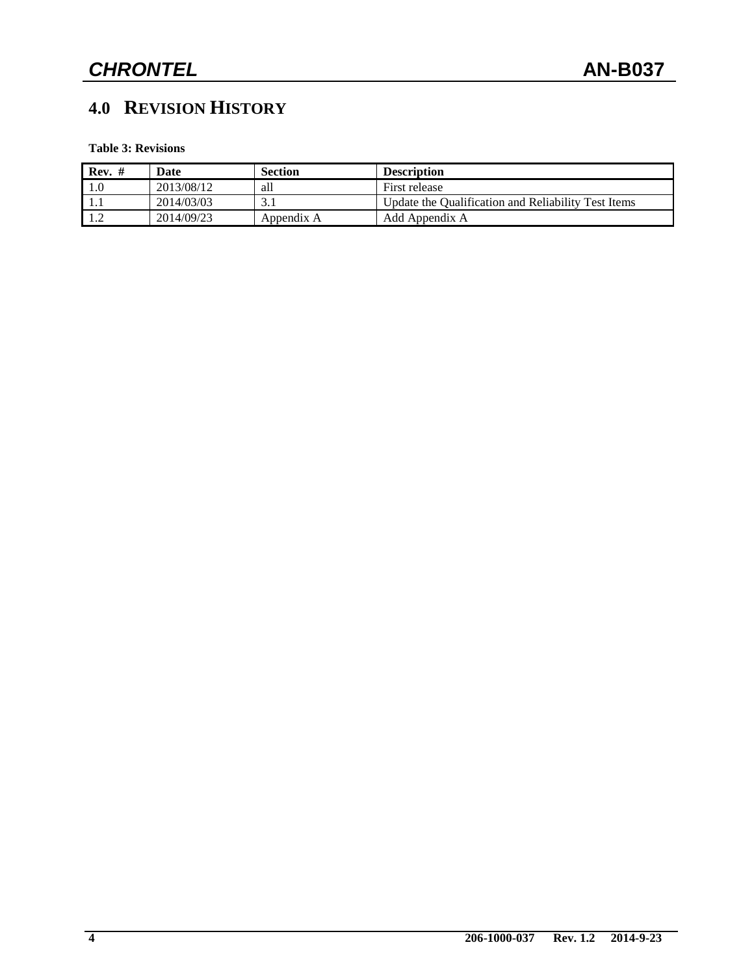# **4.0 REVISION HISTORY**

**Table 3: Revisions**

| $Rev. \#$ | Date       | <b>Section</b> | <b>Description</b>                                  |
|-----------|------------|----------------|-----------------------------------------------------|
|           | 2013/08/12 | all            | First release                                       |
|           | 2014/03/03 |                | Update the Qualification and Reliability Test Items |
|           | 2014/09/23 | Appendix A     | Add Appendix A                                      |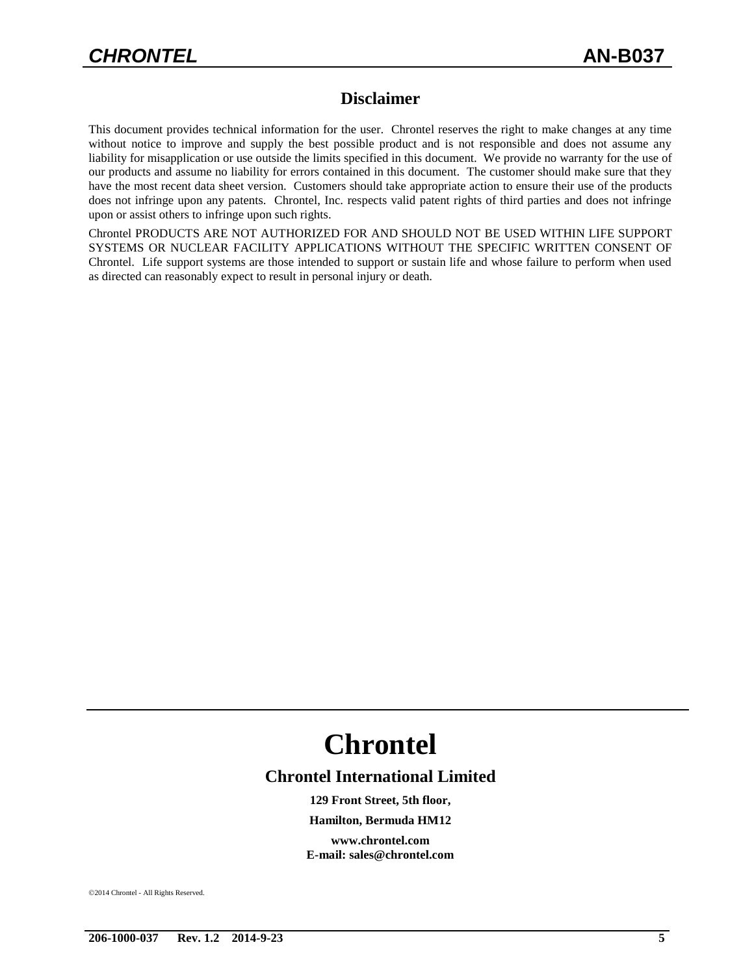### **Disclaimer**

This document provides technical information for the user. Chrontel reserves the right to make changes at any time without notice to improve and supply the best possible product and is not responsible and does not assume any liability for misapplication or use outside the limits specified in this document. We provide no warranty for the use of our products and assume no liability for errors contained in this document. The customer should make sure that they have the most recent data sheet version. Customers should take appropriate action to ensure their use of the products does not infringe upon any patents. Chrontel, Inc. respects valid patent rights of third parties and does not infringe upon or assist others to infringe upon such rights.

Chrontel PRODUCTS ARE NOT AUTHORIZED FOR AND SHOULD NOT BE USED WITHIN LIFE SUPPORT SYSTEMS OR NUCLEAR FACILITY APPLICATIONS WITHOUT THE SPECIFIC WRITTEN CONSENT OF Chrontel. Life support systems are those intended to support or sustain life and whose failure to perform when used as directed can reasonably expect to result in personal injury or death.

# **Chrontel**

#### **Chrontel International Limited**

**129 Front Street, 5th floor,**

#### **Hamilton, Bermuda HM12**

**www.chrontel.com E-mail: sales@chrontel.com**

2014 Chrontel - All Rights Reserved.